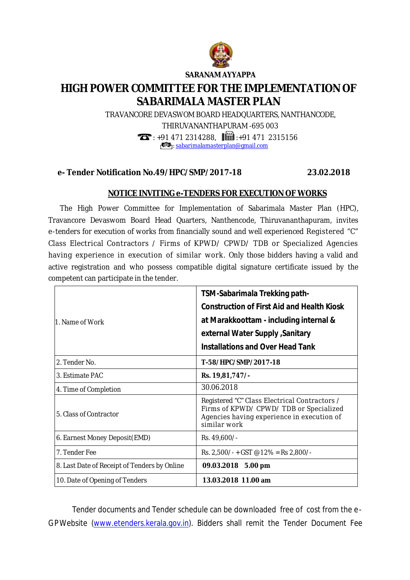

**SARANAM AYYAPPA**

## **HIGH POWER COMMITTEE FOR THE IMPLEMENTATION OF SABARIMALA MASTER PLAN**

TRAVANCORE DEVASWOM BOARD HEADQUARTERS, NANTHANCODE,

THIRUVANANTHAPURAM -695 003

 $\mathbf{T}$ : +91 471 2314288,  $\mathbf{H}$  +91 471 2315156

 $\bullet$ : [sabarimalamasterplan@gmail.com](mailto:sabarimalamasterplan@gmail.com)

## **e- Tender Notification No.49/HPC/SMP/2017-18 23.02.2018**

## **NOTICE INVITING e-TENDERS FOR EXECUTION OF WORKS**

 The High Power Committee for Implementation of Sabarimala Master Plan (HPC), Travancore Devaswom Board Head Quarters, Nanthencode, Thiruvananthapuram, invites e-tenders for execution of works from financially sound and well experienced Registered "C" Class Electrical Contractors / Firms of KPWD/ CPWD/ TDB or Specialized Agencies having experience in execution of similar work. Only those bidders having a valid and active registration and who possess compatible digital signature certificate issued by the competent can participate in the tender.

| 1. Name of Work                              | TSM-Sabarimala Trekking path-<br><b>Construction of First Aid and Health Kiosk</b><br>at Marakkoottam - including internal &<br>external Water Supply , Sanitary<br><b>Installations and Over Head Tank</b> |
|----------------------------------------------|-------------------------------------------------------------------------------------------------------------------------------------------------------------------------------------------------------------|
| 2. Tender No.                                | T-58/HPC/SMP/2017-18                                                                                                                                                                                        |
| 3. Estimate PAC                              | Rs. 19,81,747/-                                                                                                                                                                                             |
| 4. Time of Completion                        | 30.06.2018                                                                                                                                                                                                  |
| 5. Class of Contractor                       | Registered "C" Class Electrical Contractors /<br>Firms of KPWD/ CPWD/ TDB or Specialized<br>Agencies having experience in execution of<br>similar work                                                      |
| 6. Earnest Money Deposit (EMD)               | Rs. 49,600/-                                                                                                                                                                                                |
| 7. Tender Fee                                | Rs. 2,500/- + GST @12% = Rs 2,800/-                                                                                                                                                                         |
| 8. Last Date of Receipt of Tenders by Online | 09.03.2018 5.00 pm                                                                                                                                                                                          |
| 10. Date of Opening of Tenders               | 13.03.2018 11.00 am                                                                                                                                                                                         |

Tender documents and Tender schedule can be downloaded free of cost from the e-GPWebsite [\(www.etenders.kerala.gov.in\).](http://www.etenders.kerala.gov.in).) Bidders shall remit the Tender Document Fee